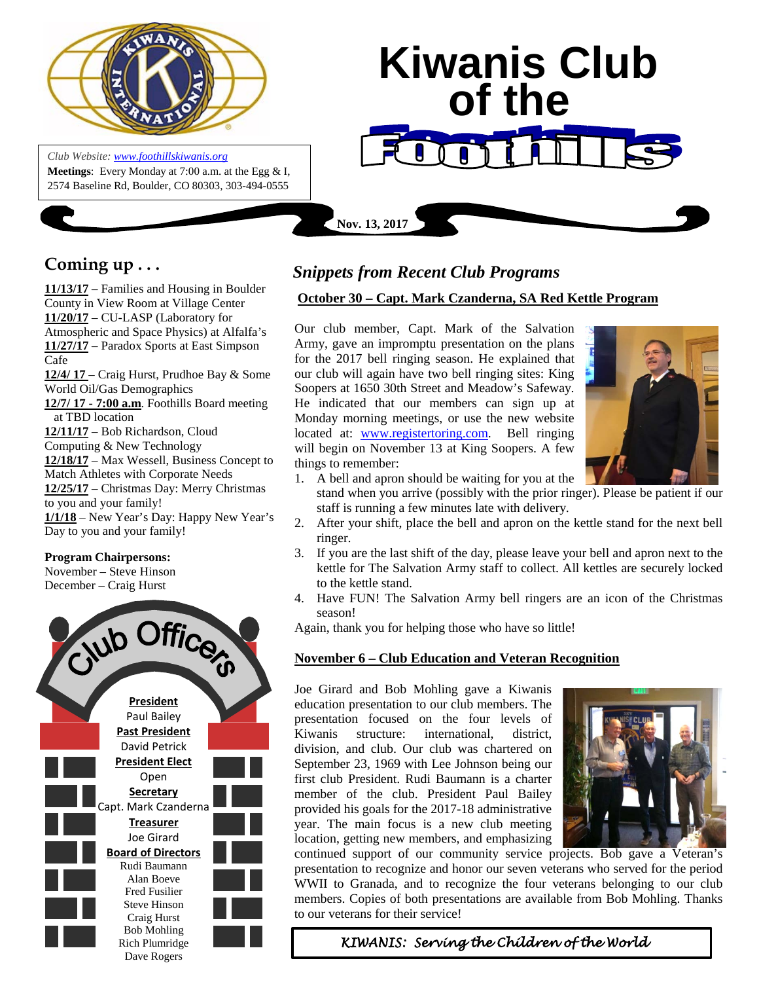

*Club Website: [www.foothillskiwanis.org](file:///C:\Users\Bob\AppData\Local\Microsoft\Windows\Temporary%20Internet%20Files\Bob\AppData\Local\Microsoft\Users\Users\Bob\AppData\Local\Microsoft\Users\Bob\AppData\Local\Microsoft\Users\Bob\AppData\Local\Microsoft\Users\Bob\AppData\Local\Microsoft\Users\Bob\AppData\Local\Microsoft\Documents%20and%20Settings\Users\Bob\AppData\Local\Microsoft\Windows\Temporary%20Internet%20Files\AppData\Local\Microsoft\Windows\Temporary%20Internet%20Files\AppData\Local\Microsoft\Documents%20and%20Settings\Kerry%20Hassler\Users\Hugh\AppData\AppData\Local\Microsoft\Documents%20and%20Settings\AppData\Local\Temp\www.foothillskiwanis.org)* **Meetings**: Every Monday at 7:00 a.m. at the Egg & I, 2574 Baseline Rd, Boulder, CO 80303, 303-494-0555

# **Kiwanis Club of the**

# **Coming up . . .**

**11/13/17** – Families and Housing in Boulder County in View Room at Village Center **11/20/17** – CU-LASP (Laboratory for Atmospheric and Space Physics) at Alfalfa's **11/27/17** – Paradox Sports at East Simpson Cafe **12/4/ 17** – Craig Hurst, Prudhoe Bay & Some World Oil/Gas Demographics **12/7/ 17 - 7:00 a.m**. Foothills Board meeting at TBD location **12/11/17** – Bob Richardson, Cloud Computing & New Technology **12/18/17** – Max Wessell, Business Concept to Match Athletes with Corporate Needs **12/25/17** – Christmas Day: Merry Christmas to you and your family! **1/1/18** – New Year's Day: Happy New Year's Day to you and your family!

## **Program Chairpersons:**

November – Steve Hinson December – Craig Hurst



# *Snippets from Recent Club Programs*

**Nov. 13, 2017**

### **October 30 – Capt. Mark Czanderna, SA Red Kettle Program**

Our club member, Capt. Mark of the Salvation Army, gave an impromptu presentation on the plans for the 2017 bell ringing season. He explained that our club will again have two bell ringing sites: King Soopers at 1650 30th Street and Meadow's Safeway. He indicated that our members can sign up at Monday morning meetings, or use the new website located at: [www.registertoring.com.](http://www.registertoring.com/) Bell ringing will begin on November 13 at King Soopers. A few things to remember:



- 1. A bell and apron should be waiting for you at the
	- stand when you arrive (possibly with the prior ringer). Please be patient if our staff is running a few minutes late with delivery.
- 2. After your shift, place the bell and apron on the kettle stand for the next bell ringer.
- 3. If you are the last shift of the day, please leave your bell and apron next to the kettle for The Salvation Army staff to collect. All kettles are securely locked to the kettle stand.
- 4. Have FUN! The Salvation Army bell ringers are an icon of the Christmas season!

Again, thank you for helping those who have so little!

### **November 6 – Club Education and Veteran Recognition**

Joe Girard and Bob Mohling gave a Kiwanis education presentation to our club members. The presentation focused on the four levels of Kiwanis structure: international, district, division, and club. Our club was chartered on September 23, 1969 with Lee Johnson being our first club President. Rudi Baumann is a charter member of the club. President Paul Bailey provided his goals for the 2017-18 administrative year. The main focus is a new club meeting location, getting new members, and emphasizing



continued support of our community service projects. Bob gave a Veteran's presentation to recognize and honor our seven veterans who served for the period WWII to Granada, and to recognize the four veterans belonging to our club members. Copies of both presentations are available from Bob Mohling. Thanks to our veterans for their service!

 *KIWANIS: Serving the Children of the World*